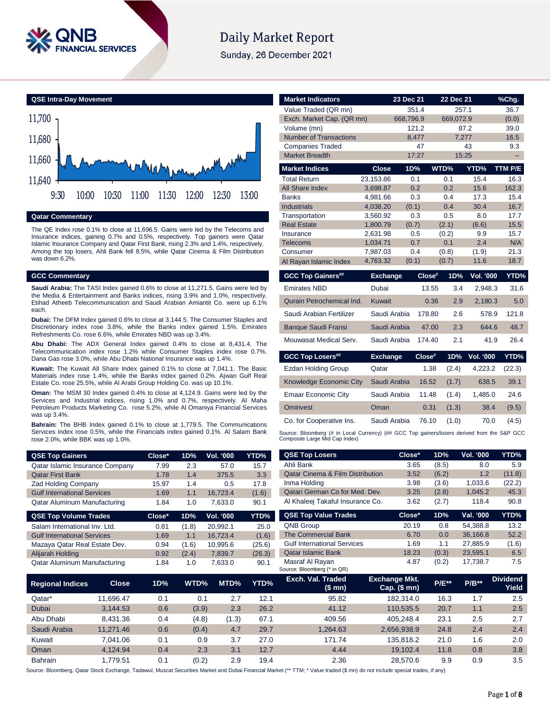

# **Daily Market Report**

Sunday, 26 December 2021

**QSE Intra-Day Movement**



#### **Qatar Commentary**

The QE Index rose 0.1% to close at 11,696.5. Gains were led by the Telecoms and Insurance indices, gaining 0.7% and 0.5%, respectively. Top gainers were Qatar Islamic Insurance Company and Qatar First Bank, rising 2.3% and 1.4%, respectively. Among the top losers, Ahli Bank fell 8.5%, while Qatar Cinema & Film Distribution was down 6.2%.

### **GCC Commentary**

**Saudi Arabia:** The TASI Index gained 0.6% to close at 11,271.5. Gains were led by the Media & Entertainment and Banks indices, rising 3.9% and 1.0%, respectively. Etihad Atheeb Telecommunication and Saudi Arabian Amiantit Co. were up 6.1% each.

**Dubai:** The DFM Index gained 0.6% to close at 3,144.5. The Consumer Staples and Discretionary index rose 3.8%, while the Banks index gained 1.5%. Emirates Refreshments Co. rose 6.6%, while Emirates NBD was up 3.4%.

**Abu Dhabi:** The ADX General Index gained 0.4% to close at 8,431.4. The Telecommunication index rose 1.2% while Consumer Staples index rose 0.7%. Dana Gas rose 3.0%, while Abu Dhabi National Insurance was up 1.4%.

**Kuwait:** The Kuwait All Share Index gained 0.1% to close at 7,041.1. The Basic Materials index rose 1.4%, while the Banks index gained 0.2%. Ajwan Gulf Real Estate Co. rose 25.5%, while Al Arabi Group Holding Co. was up 10.1%.

**Oman:** The MSM 30 Index gained 0.4% to close at 4,124.9. Gains were led by the Services and Industrial indices, rising 1.0% and 0.7%, respectively. Al Maha Petroleum Products Marketing Co. rose 5.2%, while Al Omaniya Financial Services was up 3.4%.

**Bahrain:** The BHB Index gained 0.1% to close at 1,779.5. The Communications Services index rose 0.5%, while the Financials index gained 0.1%. Al Salam Bank rose 2.0%, while BBK was up 1.0%.

| <b>QSE Top Gainers</b>              | Close* | 1D% | <b>Vol. '000</b> | YTD%  |
|-------------------------------------|--------|-----|------------------|-------|
| Qatar Islamic Insurance Company     | 7.99   | 2.3 | 57.0             | 15.7  |
| <b>Qatar First Bank</b>             | 1.78   | 1.4 | 375.5            | 3.3   |
| <b>Zad Holding Company</b>          | 15.97  | 1.4 | 0.5              | 17.8  |
| <b>Gulf International Services</b>  | 1.69   | 1.1 | 16.723.4         | (1.6) |
| <b>Qatar Aluminum Manufacturing</b> | 1.84   | 1.0 | 7.633.0          | 90.1  |

| <b>QSE Top Volume Trades</b>       | Close* | 1D%   | <b>Vol. '000</b> | YTD%   |
|------------------------------------|--------|-------|------------------|--------|
| Salam International Inv. Ltd.      | 0.81   | (1.8) | 20.992.1         | 25.0   |
| <b>Gulf International Services</b> | 1.69   | 1.1   | 16.723.4         | (1.6)  |
| Mazaya Qatar Real Estate Dev.      | 0.94   | (1.6) | 10.995.6         | (25.6) |
| Alijarah Holding                   | 0.92   | (2.4) | 7,839.7          | (26.3) |
| Qatar Aluminum Manufacturing       | 1.84   | 1.0   | 7.633.0          | 90.1   |

| <b>Market Indicators</b>                                 |                      | 23 Dec 21    | 22 Dec 21     |                  | %Chg.        |
|----------------------------------------------------------|----------------------|--------------|---------------|------------------|--------------|
| Value Traded (QR mn)                                     |                      | 351.4        | 257.1         |                  | 36.7         |
| Exch. Market Cap. (QR mn)                                |                      | 668.796.9    | 669.072.9     |                  | (0.0)        |
| Volume (mn)                                              |                      | 121.2        |               | 87.2             | 39.0         |
| <b>Number of Transactions</b><br><b>Companies Traded</b> |                      | 8.477<br>47  | 7,277         | 43               | 16.5<br>9.3  |
| <b>Market Breadth</b>                                    |                      | 17:27        |               | 15:25            |              |
|                                                          |                      |              |               |                  |              |
| <b>Market Indices</b>                                    | <b>Close</b>         | 1D%          | WTD%          | YTD%             | TTM P/E      |
| <b>Total Return</b>                                      | 23,153.86            | 0.1          | 0.1           | 15.4             | 16.3         |
| All Share Index                                          | 3.698.87             | 0.2          | 0.2           | 15.6             | 162.3        |
| <b>Banks</b><br><b>Industrials</b>                       | 4.981.66<br>4,038.20 | 0.3<br>(0.1) | 0.4<br>0.4    | 17.3<br>30.4     | 15.4<br>16.7 |
| Transportation                                           | 3,560.92             | 0.3          | 0.5           | 8.0              | 17.7         |
| <b>Real Estate</b>                                       | 1,800.79             | (0.7)        | (2.1)         | (6.6)            | 15.5         |
| Insurance                                                | 2.631.98             | 0.5          | (0.2)         | 99               | 15.7         |
| Telecoms                                                 | 1,034.71             | 0.7          | 0.1           | 24               | N/A          |
| Consumer                                                 | 7,987.03             | 0.4          | (0.8)         | (1.9)            | 21.3         |
| Al Rayan Islamic Index                                   | 4,763.32             | (0.1)        | (0.7)         | 11.6             | 18.7         |
|                                                          |                      |              |               |                  |              |
| <b>GCC Top Gainers##</b>                                 | <b>Exchange</b>      | Close#       | 1D%           | <b>Vol. '000</b> |              |
| <b>Emirates NBD</b>                                      | Dubai                |              | 13.55<br>3.4  | 2,948.3          | 31.6         |
| Qurain Petrochemical Ind.                                | Kuwait               |              | 0.36<br>2.9   | 2.180.3          | 5.0          |
| Saudi Arabian Fertilizer                                 | Saudi Arabia         | 178.80       | 2.6           | 578.9            | 121.8        |
| <b>Banque Saudi Fransi</b>                               | Saudi Arabia         |              | 2.3<br>47.00  | 644.6            | YTD%<br>48.7 |
| Mouwasat Medical Serv.                                   | Saudi Arabia         | 174.40       | 2.1           | 41.9             | 26.4         |
| <b>GCC Top Losers##</b>                                  | <b>Exchange</b>      | Close#       | 1D%           | Vol. '000        | YTD%         |
| Ezdan Holding Group                                      | Oatar                |              | 1.38<br>(2.4) | 4.223.2          | (22.3)       |
| Knowledge Economic City                                  | Saudi Arabia         | 16.52        | (1.7)         | 638.5            | 39.1         |
| <b>Emaar Economic City</b>                               | Saudi Arabia         | 11.48        | (1.4)         | 1,485.0          | 24.6         |
| Ominvest                                                 | Oman                 |              | 0.31<br>(1.3) | 38.4             | (9.5)        |
| Co. for Cooperative Ins.                                 | Saudi Arabia         | 76.10        | (1.0)         | 70.0             | (4.5)        |

| <b>QSE Top Losers</b>                       | Close* | 1D%   | Vol. '000 | YTD%   |
|---------------------------------------------|--------|-------|-----------|--------|
| Ahli Bank                                   | 3.65   | (8.5) | 8.0       | 5.9    |
| <b>Qatar Cinema &amp; Film Distribution</b> | 3.52   | (6.2) | 1.2       | (11.8) |
| Inma Holding                                | 3.98   | (3.6) | 1,033.6   | (22.2) |
| Qatari German Co for Med. Dev.              | 3.25   | (2.8) | 1.045.2   | 45.3   |
| Al Khaleej Takaful Insurance Co.            | 3.62   | (2.7) | 118.4     | 90.8   |
| <b>QSE Top Value Trades</b>                 | Close* | 1D%   | Val. '000 | YTD%   |
| <b>ONB Group</b>                            | 20.19  | 0.8   | 54.388.8  | 13.2   |

| QNB Group                          | 20.19 | 0.8   | 54.388.8 | 13.2  |
|------------------------------------|-------|-------|----------|-------|
| <b>The Commercial Bank</b>         | 6.70  | 0.0   | 36.166.8 | 52.2  |
| <b>Gulf International Services</b> | 1.69  | 1.1   | 27.885.9 | (1.6) |
| <b>Qatar Islamic Bank</b>          | 18.23 | (0.3) | 23.595.1 | 6.5   |
| Masraf Al Rayan                    | 4.87  | (0.2) | 17.738.7 | 7.5   |
| Source: Bloomberg (* in QR)        |       |       |          |       |

| <b>Regional Indices</b> | Close     | 1D% | WTD%  | MTD%  | YTD% | Exch. Val. Traded<br>(\$ mn) | <b>Exchange Mkt.</b><br>Cap. $($$ mn $)$ | <b>P/E**</b> | $P/B**$ | <b>Dividend</b><br>Yield |
|-------------------------|-----------|-----|-------|-------|------|------------------------------|------------------------------------------|--------------|---------|--------------------------|
| Qatar*                  | 11.696.47 | 0.1 | 0.1   | 2.7   | 12.1 | 95.82                        | 182.314.0                                | 16.3         | 1.7     | 2.5                      |
| Dubai                   | 3.144.53  | 0.6 | (3.9) | 2.3   | 26.2 | 41.12                        | 110.535.5                                | 20.7         | 1.1     | 2.5                      |
| Abu Dhabi               | 8.431.36  | 0.4 | (4.8) | (1.3) | 67.1 | 409.56                       | 405.248.4                                | 23.1         | 2.5     | 2.7                      |
| Saudi Arabia            | 11.271.46 | 0.6 | (0.4) | 4.7   | 29.7 | 1.264.63                     | 2.656.938.9                              | 24.8         | 2.4     | 2.4                      |
| Kuwait                  | 7.041.06  | 0.1 | 0.9   | 3.7   | 27.0 | 171.74                       | 135.818.2                                | 21.0         | 1.6     | 2.0                      |
| Oman                    | 4.124.94  | 0.4 | 2.3   | 3.1   | 12.7 | 4.44                         | 19.102.4                                 | 11.8         | 0.8     | 3.8                      |
| <b>Bahrain</b>          | .779.51   | 0.1 | (0.2) | 2.9   | 19.4 | 2.36                         | 28.570.6                                 | 9.9          | 0.9     | 3.5                      |

Source: Bloomberg, Qatar Stock Exchange, Tadawul, Muscat Securities Market and Dubai Financial Market (\*\* TTM; \* Value traded (\$ mn) do not include special trades, if any)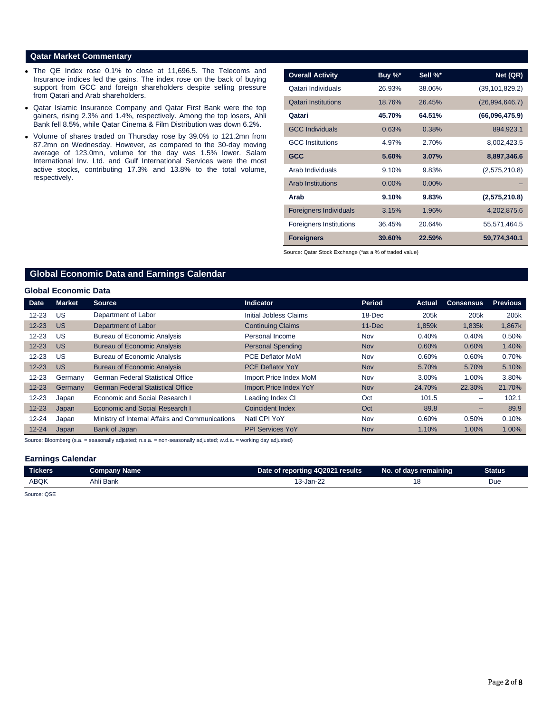#### **Qatar Market Commentary**

- The QE Index rose 0.1% to close at 11,696.5. The Telecoms and Insurance indices led the gains. The index rose on the back of buying support from GCC and foreign shareholders despite selling pressure from Qatari and Arab shareholders.
- Qatar Islamic Insurance Company and Qatar First Bank were the top gainers, rising 2.3% and 1.4%, respectively. Among the top losers, Ahli Bank fell 8.5%, while Qatar Cinema & Film Distribution was down 6.2%.
- Volume of shares traded on Thursday rose by 39.0% to 121.2mn from 87.2mn on Wednesday. However, as compared to the 30-day moving average of 123.0mn, volume for the day was 1.5% lower. Salam International Inv. Ltd. and Gulf International Services were the most active stocks, contributing 17.3% and 13.8% to the total volume, respectively.

| <b>Overall Activity</b>        | Buy $\%^*$ | Sell %*  | Net (QR)         |
|--------------------------------|------------|----------|------------------|
| Qatari Individuals             | 26.93%     | 38.06%   | (39, 101, 829.2) |
| <b>Oatari Institutions</b>     | 18.76%     | 26.45%   | (26,994,646.7)   |
| Qatari                         | 45.70%     | 64.51%   | (66,096,475.9)   |
| <b>GCC Individuals</b>         | 0.63%      | 0.38%    | 894,923.1        |
| <b>GCC</b> Institutions        | 4.97%      | 2.70%    | 8,002,423.5      |
| <b>GCC</b>                     | 5.60%      | 3.07%    | 8,897,346.6      |
| Arab Individuals               | 9.10%      | 9.83%    | (2,575,210.8)    |
| <b>Arab Institutions</b>       | $0.00\%$   | $0.00\%$ |                  |
| Arab                           | 9.10%      | 9.83%    | (2,575,210.8)    |
| <b>Foreigners Individuals</b>  | 3.15%      | 1.96%    | 4,202,875.6      |
| <b>Foreigners Institutions</b> | 36.45%     | 20.64%   | 55,571,464.5     |
| <b>Foreigners</b>              | 39.60%     | 22.59%   | 59,774,340.1     |

Source: Qatar Stock Exchange (\*as a % of traded value)

### **Global Economic Data and Earnings Calendar**

#### **Global Economic Data**

| <b>Date</b> | <b>Market</b> | <b>Source</b>                                   | Indicator                | <b>Period</b> | Actual | <b>Consensus</b> | <b>Previous</b> |
|-------------|---------------|-------------------------------------------------|--------------------------|---------------|--------|------------------|-----------------|
| $12 - 23$   | US            | Department of Labor                             | Initial Jobless Claims   | 18-Dec        | 205k   | 205k             | 205k            |
| $12 - 23$   | <b>US</b>     | Department of Labor                             | <b>Continuing Claims</b> | $11 - Dec$    | 1,859k | 1,835k           | 1,867k          |
| $12 - 23$   | US            | <b>Bureau of Economic Analysis</b>              | Personal Income          | Nov           | 0.40%  | 0.40%            | 0.50%           |
| $12 - 23$   | <b>US</b>     | <b>Bureau of Economic Analysis</b>              | <b>Personal Spending</b> | <b>Nov</b>    | 0.60%  | 0.60%            | 1.40%           |
| $12 - 23$   | US            | <b>Bureau of Economic Analysis</b>              | <b>PCE Deflator MoM</b>  | Nov           | 0.60%  | 0.60%            | 0.70%           |
| $12 - 23$   | <b>US</b>     | <b>Bureau of Economic Analysis</b>              | <b>PCE Deflator YoY</b>  | <b>Nov</b>    | 5.70%  | 5.70%            | 5.10%           |
| $12 - 23$   | Germany       | German Federal Statistical Office               | Import Price Index MoM   | Nov           | 3.00%  | 1.00%            | 3.80%           |
| $12 - 23$   | Germany       | <b>German Federal Statistical Office</b>        | Import Price Index YoY   | <b>Nov</b>    | 24.70% | 22.30%           | 21.70%          |
| $12 - 23$   | Japan         | Economic and Social Research I                  | Leading Index CI         | Oct           | 101.5  | $- -$            | 102.1           |
| $12 - 23$   | Japan         | Economic and Social Research I                  | Coincident Index         | Oct           | 89.8   | --               | 89.9            |
| $12 - 24$   | Japan         | Ministry of Internal Affairs and Communications | Natl CPI YoY             | <b>Nov</b>    | 0.60%  | 0.50%            | 0.10%           |
| $12 - 24$   | Japan         | <b>Bank of Japan</b>                            | <b>PPI Services YoY</b>  | <b>Nov</b>    | 1.10%  | 1.00%            | 1.00%           |

Source: Bloomberg (s.a. = seasonally adjusted; n.s.a. = non-seasonally adjusted; w.d.a. = working day adjusted)

#### **Earnings Calendar**

| <b>Tickers</b> | Company Name | Date of reporting 4Q2021 results | No. of days remaining | Status |
|----------------|--------------|----------------------------------|-----------------------|--------|
| <b>ABQK</b>    | Ahli Bank    | 3-Jan-22                         |                       | Due    |

Source: QSE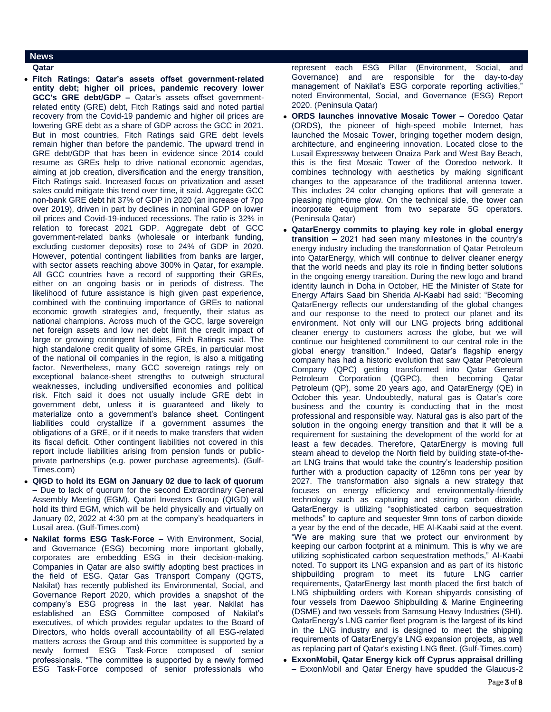#### **News**

**Qatar** 

 **Fitch Ratings: Qatar's assets offset government-related entity debt; higher oil prices, pandemic recovery lower GCC's GRE debt/GDP –** Qatar's assets offset governmentrelated entity (GRE) debt, Fitch Ratings said and noted partial recovery from the Covid-19 pandemic and higher oil prices are lowering GRE debt as a share of GDP across the GCC in 2021. But in most countries, Fitch Ratings said GRE debt levels remain higher than before the pandemic. The upward trend in GRE debt/GDP that has been in evidence since 2014 could resume as GREs help to drive national economic agendas, aiming at job creation, diversification and the energy transition, Fitch Ratings said. Increased focus on privatization and asset sales could mitigate this trend over time, it said. Aggregate GCC non-bank GRE debt hit 37% of GDP in 2020 (an increase of 7pp over 2019), driven in part by declines in nominal GDP on lower oil prices and Covid-19-induced recessions. The ratio is 32% in relation to forecast 2021 GDP. Aggregate debt of GCC government-related banks (wholesale or interbank funding, excluding customer deposits) rose to 24% of GDP in 2020. However, potential contingent liabilities from banks are larger, with sector assets reaching above 300% in Qatar, for example. All GCC countries have a record of supporting their GREs, either on an ongoing basis or in periods of distress. The likelihood of future assistance is high given past experience, combined with the continuing importance of GREs to national economic growth strategies and, frequently, their status as national champions. Across much of the GCC, large sovereign net foreign assets and low net debt limit the credit impact of large or growing contingent liabilities, Fitch Ratings said. The high standalone credit quality of some GREs, in particular most of the national oil companies in the region, is also a mitigating factor. Nevertheless, many GCC sovereign ratings rely on exceptional balance-sheet strengths to outweigh structural weaknesses, including undiversified economies and political risk. Fitch said it does not usually include GRE debt in government debt, unless it is guaranteed and likely to materialize onto a government's balance sheet. Contingent liabilities could crystallize if a government assumes the obligations of a GRE, or if it needs to make transfers that widen its fiscal deficit. Other contingent liabilities not covered in this report include liabilities arising from pension funds or publicprivate partnerships (e.g. power purchase agreements). (Gulf-Times.com)

- **QIGD to hold its EGM on January 02 due to lack of quorum –** Due to lack of quorum for the second Extraordinary General Assembly Meeting (EGM), Qatari Investors Group (QIGD) will hold its third EGM, which will be held physically and virtually on January 02, 2022 at 4:30 pm at the company's headquarters in Lusail area. (Gulf-Times.com)
- **Nakilat forms ESG Task-Force –** With Environment, Social, and Governance (ESG) becoming more important globally, corporates are embedding ESG in their decision-making. Companies in Qatar are also swiftly adopting best practices in the field of ESG. Qatar Gas Transport Company (QGTS, Nakilat) has recently published its Environmental, Social, and Governance Report 2020, which provides a snapshot of the company's ESG progress in the last year. Nakilat has established an ESG Committee composed of Nakilat's executives, of which provides regular updates to the Board of Directors, who holds overall accountability of all ESG-related matters across the Group and this committee is supported by a newly formed ESG Task-Force composed of senior professionals. "The committee is supported by a newly formed ESG Task-Force composed of senior professionals who

represent each ESG Pillar (Environment, Social, and Governance) and are responsible for the day-to-day management of Nakilat's ESG corporate reporting activities,' noted Environmental, Social, and Governance (ESG) Report 2020. (Peninsula Qatar)

- **ORDS launches innovative Mosaic Tower –** Ooredoo Qatar (ORDS), the pioneer of high-speed mobile Internet, has launched the Mosaic Tower, bringing together modern design, architecture, and engineering innovation. Located close to the Lusail Expressway between Onaiza Park and West Bay Beach, this is the first Mosaic Tower of the Ooredoo network. It combines technology with aesthetics by making significant changes to the appearance of the traditional antenna tower. This includes 24 color changing options that will generate a pleasing night-time glow. On the technical side, the tower can incorporate equipment from two separate 5G operators. (Peninsula Qatar)
- **QatarEnergy commits to playing key role in global energy transition –** 2021 had seen many milestones in the country's energy industry including the transformation of Qatar Petroleum into QatarEnergy, which will continue to deliver cleaner energy that the world needs and play its role in finding better solutions in the ongoing energy transition. During the new logo and brand identity launch in Doha in October, HE the Minister of State for Energy Affairs Saad bin Sherida Al-Kaabi had said: "Becoming QatarEnergy reflects our understanding of the global changes and our response to the need to protect our planet and its environment. Not only will our LNG projects bring additional cleaner energy to customers across the globe, but we will continue our heightened commitment to our central role in the global energy transition." Indeed, Qatar's flagship energy company has had a historic evolution that saw Qatar Petroleum Company (QPC) getting transformed into Qatar General Petroleum Corporation (QGPC), then becoming Qatar Petroleum (QP), some 20 years ago, and QatarEnergy (QE) in October this year. Undoubtedly, natural gas is Qatar's core business and the country is conducting that in the most professional and responsible way. Natural gas is also part of the solution in the ongoing energy transition and that it will be a requirement for sustaining the development of the world for at least a few decades. Therefore, QatarEnergy is moving full steam ahead to develop the North field by building state-of-theart LNG trains that would take the country's leadership position further with a production capacity of 126mn tons per year by 2027. The transformation also signals a new strategy that focuses on energy efficiency and environmentally-friendly technology such as capturing and storing carbon dioxide. QatarEnergy is utilizing "sophisticated carbon sequestration methods" to capture and sequester 9mn tons of carbon dioxide a year by the end of the decade, HE Al-Kaabi said at the event. "We are making sure that we protect our environment by keeping our carbon footprint at a minimum. This is why we are utilizing sophisticated carbon sequestration methods," Al-Kaabi noted. To support its LNG expansion and as part of its historic shipbuilding program to meet its future LNG carrier requirements, QatarEnergy last month placed the first batch of LNG shipbuilding orders with Korean shipyards consisting of four vessels from Daewoo Shipbuilding & Marine Engineering (DSME) and two vessels from Samsung Heavy Industries (SHI). QatarEnergy's LNG carrier fleet program is the largest of its kind in the LNG industry and is designed to meet the shipping requirements of QatarEnergy's LNG expansion projects, as well as replacing part of Qatar's existing LNG fleet. (Gulf-Times.com)
- **ExxonMobil, Qatar Energy kick off Cyprus appraisal drilling –** ExxonMobil and Qatar Energy have spudded the Glaucus-2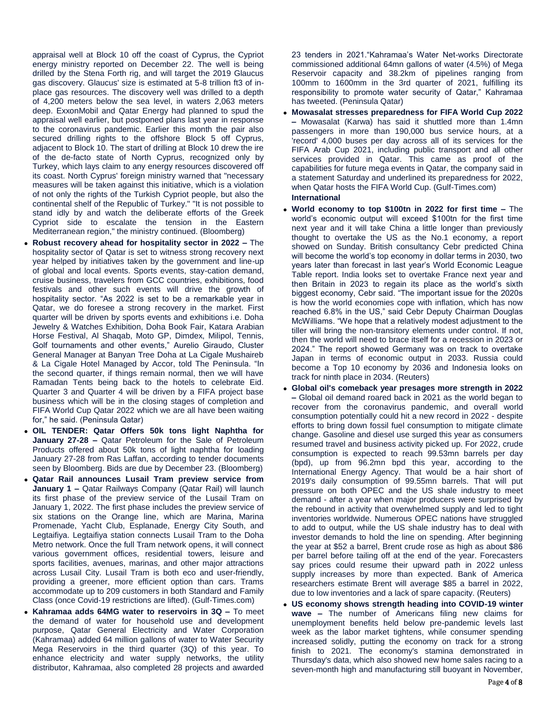appraisal well at Block 10 off the coast of Cyprus, the Cypriot energy ministry reported on December 22. The well is being drilled by the Stena Forth rig, and will target the 2019 Glaucus gas discovery. Glaucus' size is estimated at 5-8 trillion ft3 of inplace gas resources. The discovery well was drilled to a depth of 4,200 meters below the sea level, in waters 2,063 meters deep. ExxonMobil and Qatar Energy had planned to spud the appraisal well earlier, but postponed plans last year in response to the coronavirus pandemic. Earlier this month the pair also secured drilling rights to the offshore Block 5 off Cyprus, adjacent to Block 10. The start of drilling at Block 10 drew the ire of the de-facto state of North Cyprus, recognized only by Turkey, which lays claim to any energy resources discovered off its coast. North Cyprus' foreign ministry warned that "necessary measures will be taken against this initiative, which is a violation of not only the rights of the Turkish Cypriot people, but also the continental shelf of the Republic of Turkey." "It is not possible to stand idly by and watch the deliberate efforts of the Greek Cypriot side to escalate the tension in the Eastern Mediterranean region," the ministry continued. (Bloomberg)

- **Robust recovery ahead for hospitality sector in 2022 –** The hospitality sector of Qatar is set to witness strong recovery next year helped by initiatives taken by the government and line-up of global and local events. Sports events, stay-cation demand, cruise business, travelers from GCC countries, exhibitions, food festivals and other such events will drive the growth of hospitality sector. "As 2022 is set to be a remarkable year in Qatar, we do foresee a strong recovery in the market. First quarter will be driven by sports events and exhibitions i.e. Doha Jewelry & Watches Exhibition, Doha Book Fair, Katara Arabian Horse Festival, Al Shaqab, Moto GP, Dimdex, Milipol, Tennis, Golf tournaments and other events," Aurelio Giraudo, Cluster General Manager at Banyan Tree Doha at La Cigale Mushaireb & La Cigale Hotel Managed by Accor, told The Peninsula. "In the second quarter, if things remain normal, then we will have Ramadan Tents being back to the hotels to celebrate Eid. Quarter 3 and Quarter 4 will be driven by a FIFA project base business which will be in the closing stages of completion and FIFA World Cup Qatar 2022 which we are all have been waiting for," he said. (Peninsula Qatar)
- **OIL TENDER: Qatar Offers 50k tons light Naphtha for January 27-28 –** Qatar Petroleum for the Sale of Petroleum Products offered about 50k tons of light naphtha for loading January 27-28 from Ras Laffan, according to tender documents seen by Bloomberg. Bids are due by December 23. (Bloomberg)
- **Qatar Rail announces Lusail Tram preview service from January 1 –** Qatar Railways Company (Qatar Rail) will launch its first phase of the preview service of the Lusail Tram on January 1, 2022. The first phase includes the preview service of six stations on the Orange line, which are Marina, Marina Promenade, Yacht Club, Esplanade, Energy City South, and Legtaifiya. Legtaifiya station connects Lusail Tram to the Doha Metro network. Once the full Tram network opens, it will connect various government offices, residential towers, leisure and sports facilities, avenues, marinas, and other major attractions across Lusail City. Lusail Tram is both eco and user-friendly, providing a greener, more efficient option than cars. Trams accommodate up to 209 customers in both Standard and Family Class (once Covid-19 restrictions are lifted). (Gulf-Times.com)
- **Kahramaa adds 64MG water to reservoirs in 3Q –** To meet the demand of water for household use and development purpose, Qatar General Electricity and Water Corporation (Kahramaa) added 64 million gallons of water to Water Security Mega Reservoirs in the third quarter (3Q) of this year. To enhance electricity and water supply networks, the utility distributor, Kahramaa, also completed 28 projects and awarded

23 tenders in 2021."Kahramaa's Water Net-works Directorate commissioned additional 64mn gallons of water (4.5%) of Mega Reservoir capacity and 38.2km of pipelines ranging from 100mm to 1600mm in the 3rd quarter of 2021, fulfilling its responsibility to promote water security of Qatar," Kahramaa has tweeted. (Peninsula Qatar)

 **Mowasalat stresses preparedness for FIFA World Cup 2022 –** Mowasalat (Karwa) has said it shuttled more than 1.4mn passengers in more than 190,000 bus service hours, at a 'record' 4,000 buses per day across all of its services for the FIFA Arab Cup 2021, including public transport and all other services provided in Qatar. This came as proof of the capabilities for future mega events in Qatar, the company said in a statement Saturday and underlined its preparedness for 2022, when Qatar hosts the FIFA World Cup. (Gulf-Times.com)

#### **International**

- **World economy to top \$100tn in 2022 for first time –** The world's economic output will exceed \$100tn for the first time next year and it will take China a little longer than previously thought to overtake the US as the No.1 economy, a report showed on Sunday. British consultancy Cebr predicted China will become the world's top economy in dollar terms in 2030, two years later than forecast in last year's World Economic League Table report. India looks set to overtake France next year and then Britain in 2023 to regain its place as the world's sixth biggest economy, Cebr said. "The important issue for the 2020s is how the world economies cope with inflation, which has now reached 6.8% in the US," said Cebr Deputy Chairman Douglas McWilliams. "We hope that a relatively modest adjustment to the tiller will bring the non-transitory elements under control. If not, then the world will need to brace itself for a recession in 2023 or 2024." The report showed Germany was on track to overtake Japan in terms of economic output in 2033. Russia could become a Top 10 economy by 2036 and Indonesia looks on track for ninth place in 2034. (Reuters)
- **Global oil's comeback year presages more strength in 2022 –** Global oil demand roared back in 2021 as the world began to recover from the coronavirus pandemic, and overall world consumption potentially could hit a new record in 2022 - despite efforts to bring down fossil fuel consumption to mitigate climate change. Gasoline and diesel use surged this year as consumers resumed travel and business activity picked up. For 2022, crude consumption is expected to reach 99.53mn barrels per day (bpd), up from 96.2mn bpd this year, according to the International Energy Agency. That would be a hair short of 2019's daily consumption of 99.55mn barrels. That will put pressure on both OPEC and the US shale industry to meet demand - after a year when major producers were surprised by the rebound in activity that overwhelmed supply and led to tight inventories worldwide. Numerous OPEC nations have struggled to add to output, while the US shale industry has to deal with investor demands to hold the line on spending. After beginning the year at \$52 a barrel, Brent crude rose as high as about \$86 per barrel before tailing off at the end of the year. Forecasters say prices could resume their upward path in 2022 unless supply increases by more than expected. Bank of America researchers estimate Brent will average \$85 a barrel in 2022, due to low inventories and a lack of spare capacity. (Reuters)
- **US economy shows strength heading into COVID-19 winter wave –** The number of Americans filing new claims for unemployment benefits held below pre-pandemic levels last week as the labor market tightens, while consumer spending increased solidly, putting the economy on track for a strong finish to 2021. The economy's stamina demonstrated in Thursday's data, which also showed new home sales racing to a seven-month high and manufacturing still buoyant in November.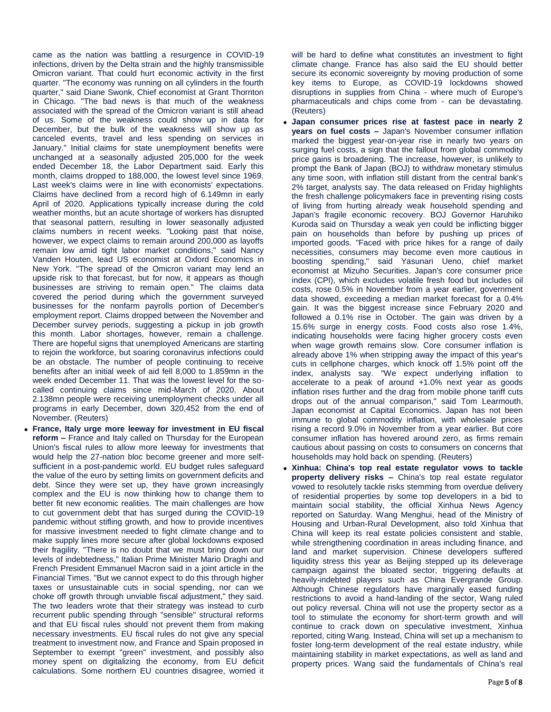came as the nation was battling a resurgence in COVID-19 infections, driven by the Delta strain and the highly transmissible Omicron variant. That could hurt economic activity in the first quarter. "The economy was running on all cylinders in the fourth quarter," said Diane Swonk, Chief economist at Grant Thornton in Chicago. "The bad news is that much of the weakness associated with the spread of the Omicron variant is still ahead of us. Some of the weakness could show up in data for December, but the bulk of the weakness will show up as canceled events, travel and less spending on services in January." Initial claims for state unemployment benefits were unchanged at a seasonally adjusted 205,000 for the week ended December 18, the Labor Department said. Early this month, claims dropped to 188,000, the lowest level since 1969. Last week's claims were in line with economists' expectations. Claims have declined from a record high of 6.149mn in early April of 2020. Applications typically increase during the cold weather months, but an acute shortage of workers has disrupted that seasonal pattern, resulting in lower seasonally adjusted claims numbers in recent weeks. "Looking past that noise, however, we expect claims to remain around 200,000 as layoffs remain low amid tight labor market conditions," said Nancy Vanden Houten, lead US economist at Oxford Economics in New York. "The spread of the Omicron variant may lend an upside risk to that forecast, but for now, it appears as though businesses are striving to remain open." The claims data covered the period during which the government surveyed businesses for the nonfarm payrolls portion of December's employment report. Claims dropped between the November and December survey periods, suggesting a pickup in job growth this month. Labor shortages, however, remain a challenge. There are hopeful signs that unemployed Americans are starting to rejoin the workforce, but soaring coronavirus infections could be an obstacle. The number of people continuing to receive benefits after an initial week of aid fell 8,000 to 1.859mn in the week ended December 11. That was the lowest level for the socalled continuing claims since mid-March of 2020. About 2.138mn people were receiving unemployment checks under all programs in early December, down 320,452 from the end of November. (Reuters)

 **France, Italy urge more leeway for investment in EU fiscal reform –** France and Italy called on Thursday for the European Union's fiscal rules to allow more leeway for investments that would help the 27-nation bloc become greener and more selfsufficient in a post-pandemic world. EU budget rules safeguard the value of the euro by setting limits on government deficits and debt. Since they were set up, they have grown increasingly complex and the EU is now thinking how to change them to better fit new economic realities. The main challenges are how to cut government debt that has surged during the COVID-19 pandemic without stifling growth, and how to provide incentives for massive investment needed to fight climate change and to make supply lines more secure after global lockdowns exposed their fragility. "There is no doubt that we must bring down our levels of indebtedness," Italian Prime Minister Mario Draghi and French President Emmanuel Macron said in a joint article in the Financial Times. "But we cannot expect to do this through higher taxes or unsustainable cuts in social spending, nor can we choke off growth through unviable fiscal adjustment," they said. The two leaders wrote that their strategy was instead to curb recurrent public spending through "sensible" structural reforms and that EU fiscal rules should not prevent them from making necessary investments. EU fiscal rules do not give any special treatment to investment now, and France and Spain proposed in September to exempt "green" investment, and possibly also money spent on digitalizing the economy, from EU deficit calculations. Some northern EU countries disagree, worried it will be hard to define what constitutes an investment to fight climate change. France has also said the EU should better secure its economic sovereignty by moving production of some key items to Europe, as COVID-19 lockdowns showed disruptions in supplies from China - where much of Europe's pharmaceuticals and chips come from - can be devastating. (Reuters)

- **Japan consumer prices rise at fastest pace in nearly 2 years on fuel costs –** Japan's November consumer inflation marked the biggest year-on-year rise in nearly two years on surging fuel costs, a sign that the fallout from global commodity price gains is broadening. The increase, however, is unlikely to prompt the Bank of Japan (BOJ) to withdraw monetary stimulus any time soon, with inflation still distant from the central bank's 2% target, analysts say. The data released on Friday highlights the fresh challenge policymakers face in preventing rising costs of living from hurting already weak household spending and Japan's fragile economic recovery. BOJ Governor Haruhiko Kuroda said on Thursday a weak yen could be inflicting bigger pain on households than before by pushing up prices of imported goods. "Faced with price hikes for a range of daily necessities, consumers may become even more cautious in boosting spending," said Yasunari Ueno, chief market economist at Mizuho Securities. Japan's core consumer price index (CPI), which excludes volatile fresh food but includes oil costs, rose 0.5% in November from a year earlier, government data showed, exceeding a median market forecast for a 0.4% gain. It was the biggest increase since February 2020 and followed a 0.1% rise in October. The gain was driven by a 15.6% surge in energy costs. Food costs also rose 1.4%, indicating households were facing higher grocery costs even when wage growth remains slow. Core consumer inflation is already above 1% when stripping away the impact of this year's cuts in cellphone charges, which knock off 1.5% point off the index, analysts say. "We expect underlying inflation to accelerate to a peak of around +1.0% next year as goods inflation rises further and the drag from mobile phone tariff cuts drops out of the annual comparison," said Tom Learmouth, Japan economist at Capital Economics. Japan has not been immune to global commodity inflation, with wholesale prices rising a record 9.0% in November from a year earlier. But core consumer inflation has hovered around zero, as firms remain cautious about passing on costs to consumers on concerns that households may hold back on spending. (Reuters)
- **Xinhua: China's top real estate regulator vows to tackle property delivery risks –** China's top real estate regulator vowed to resolutely tackle risks stemming from overdue delivery of residential properties by some top developers in a bid to maintain social stability, the official Xinhua News Agency reported on Saturday. Wang Menghui, head of the Ministry of Housing and Urban-Rural Development, also told Xinhua that China will keep its real estate policies consistent and stable, while strengthening coordination in areas including finance, and land and market supervision. Chinese developers suffered liquidity stress this year as Beijing stepped up its deleverage campaign against the bloated sector, triggering defaults at heavily-indebted players such as China Evergrande Group. Although Chinese regulators have marginally eased funding restrictions to avoid a hand-landing of the sector, Wang ruled out policy reversal. China will not use the property sector as a tool to stimulate the economy for short-term growth and will continue to crack down on speculative investment, Xinhua reported, citing Wang. Instead, China will set up a mechanism to foster long-term development of the real estate industry, while maintaining stability in market expectations, as well as land and property prices. Wang said the fundamentals of China's real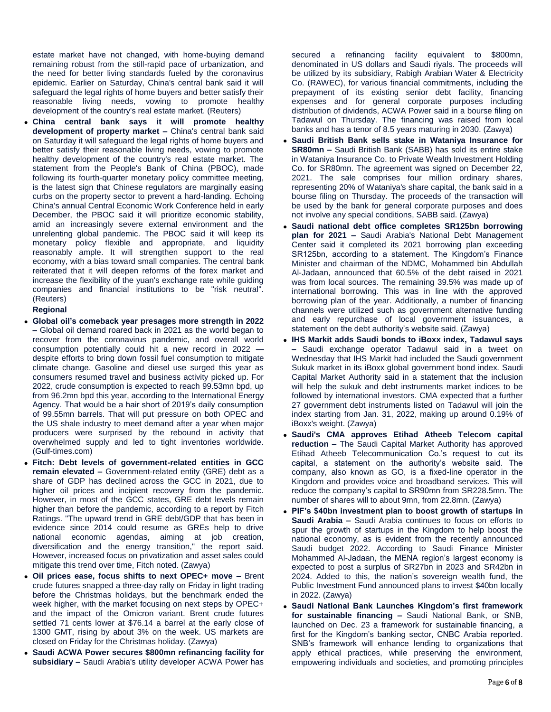estate market have not changed, with home-buying demand remaining robust from the still-rapid pace of urbanization, and the need for better living standards fueled by the coronavirus epidemic. Earlier on Saturday, China's central bank said it will safeguard the legal rights of home buyers and better satisfy their reasonable living needs, vowing to promote healthy development of the country's real estate market. (Reuters)

 **China central bank says it will promote healthy development of property market –** China's central bank said on Saturday it will safeguard the legal rights of home buyers and better satisfy their reasonable living needs, vowing to promote healthy development of the country's real estate market. The statement from the People's Bank of China (PBOC), made following its fourth-quarter monetary policy committee meeting, is the latest sign that Chinese regulators are marginally easing curbs on the property sector to prevent a hard-landing. Echoing China's annual Central Economic Work Conference held in early December, the PBOC said it will prioritize economic stability, amid an increasingly severe external environment and the unrelenting global pandemic. The PBOC said it will keep its monetary policy flexible and appropriate, and liquidity reasonably ample. It will strengthen support to the real economy, with a bias toward small companies. The central bank reiterated that it will deepen reforms of the forex market and increase the flexibility of the yuan's exchange rate while guiding companies and financial institutions to be "risk neutral". (Reuters)

#### **Regional**

- **Global oil's comeback year presages more strength in 2022 –** Global oil demand roared back in 2021 as the world began to recover from the coronavirus pandemic, and overall world consumption potentially could hit a new record in 2022 despite efforts to bring down fossil fuel consumption to mitigate climate change. Gasoline and diesel use surged this year as consumers resumed travel and business activity picked up. For 2022, crude consumption is expected to reach 99.53mn bpd, up from 96.2mn bpd this year, according to the International Energy Agency. That would be a hair short of 2019's daily consumption of 99.55mn barrels. That will put pressure on both OPEC and the US shale industry to meet demand after a year when major producers were surprised by the rebound in activity that overwhelmed supply and led to tight inventories worldwide. (Gulf-times.com)
- **Fitch: Debt levels of government-related entities in GCC remain elevated –** Government-related entity (GRE) debt as a share of GDP has declined across the GCC in 2021, due to higher oil prices and incipient recovery from the pandemic. However, in most of the GCC states, GRE debt levels remain higher than before the pandemic, according to a report by Fitch Ratings. "The upward trend in GRE debt/GDP that has been in evidence since 2014 could resume as GREs help to drive national economic agendas, aiming at job creation, diversification and the energy transition," the report said. However, increased focus on privatization and asset sales could mitigate this trend over time, Fitch noted. (Zawya)
- **Oil prices ease, focus shifts to next OPEC+ move –** Brent crude futures snapped a three-day rally on Friday in light trading before the Christmas holidays, but the benchmark ended the week higher, with the market focusing on next steps by OPEC+ and the impact of the Omicron variant. Brent crude futures settled 71 cents lower at \$76.14 a barrel at the early close of 1300 GMT, rising by about 3% on the week. US markets are closed on Friday for the Christmas holiday. (Zawya)
- **Saudi ACWA Power secures \$800mn refinancing facility for subsidiary –** Saudi Arabia's utility developer ACWA Power has

secured a refinancing facility equivalent to \$800mn, denominated in US dollars and Saudi riyals. The proceeds will be utilized by its subsidiary, Rabigh Arabian Water & Electricity Co. (RAWEC), for various financial commitments, including the prepayment of its existing senior debt facility, financing expenses and for general corporate purposes including distribution of dividends, ACWA Power said in a bourse filing on Tadawul on Thursday. The financing was raised from local banks and has a tenor of 8.5 years maturing in 2030. (Zawya)

- **Saudi British Bank sells stake in Wataniya Insurance for SR80mn –** Saudi British Bank (SABB) has sold its entire stake in Wataniya Insurance Co. to Private Wealth Investment Holding Co. for SR80mn. The agreement was signed on December 22, 2021. The sale comprises four million ordinary shares, representing 20% of Wataniya's share capital, the bank said in a bourse filing on Thursday. The proceeds of the transaction will be used by the bank for general corporate purposes and does not involve any special conditions, SABB said. (Zawya)
- **Saudi national debt office completes SR125bn borrowing plan for 2021 –** Saudi Arabia's National Debt Management Center said it completed its 2021 borrowing plan exceeding SR125bn, according to a statement. The Kingdom's Finance Minister and chairman of the NDMC, Mohammed bin Abdullah Al-Jadaan, announced that 60.5% of the debt raised in 2021 was from local sources. The remaining 39.5% was made up of international borrowing. This was in line with the approved borrowing plan of the year. Additionally, a number of financing channels were utilized such as government alternative funding and early repurchase of local government issuances, a statement on the debt authority's website said. (Zawya)
- **IHS Markit adds Saudi bonds to iBoxx index, Tadawul says –** Saudi exchange operator Tadawul said in a tweet on Wednesday that IHS Markit had included the Saudi government Sukuk market in its iBoxx global government bond index. Saudi Capital Market Authority said in a statement that the inclusion will help the sukuk and debt instruments market indices to be followed by international investors. CMA expected that a further 27 government debt instruments listed on Tadawul will join the index starting from Jan. 31, 2022, making up around 0.19% of iBoxx's weight. (Zawya)
- **Saudi's CMA approves Etihad Atheeb Telecom capital reduction –** The Saudi Capital Market Authority has approved Etihad Atheeb Telecommunication Co.'s request to cut its capital, a statement on the authority's website said. The company, also known as GO, is a fixed-line operator in the Kingdom and provides voice and broadband services. This will reduce the company's capital to SR90mn from SR228.5mn. The number of shares will to about 9mn, from 22.8mn. (Zawya)
- **PIF's \$40bn investment plan to boost growth of startups in Saudi Arabia –** Saudi Arabia continues to focus on efforts to spur the growth of startups in the Kingdom to help boost the national economy, as is evident from the recently announced Saudi budget 2022. According to Saudi Finance Minister Mohammed Al-Jadaan, the MENA region's largest economy is expected to post a surplus of SR27bn in 2023 and SR42bn in 2024. Added to this, the nation's sovereign wealth fund, the Public Investment Fund announced plans to invest \$40bn locally in 2022. (Zawya)
- **Saudi National Bank Launches Kingdom's first framework for sustainable financing –** Saudi National Bank, or SNB, launched on Dec. 23 a framework for sustainable financing, a first for the Kingdom's banking sector, CNBC Arabia reported. SNB's framework will enhance lending to organizations that apply ethical practices, while preserving the environment, empowering individuals and societies, and promoting principles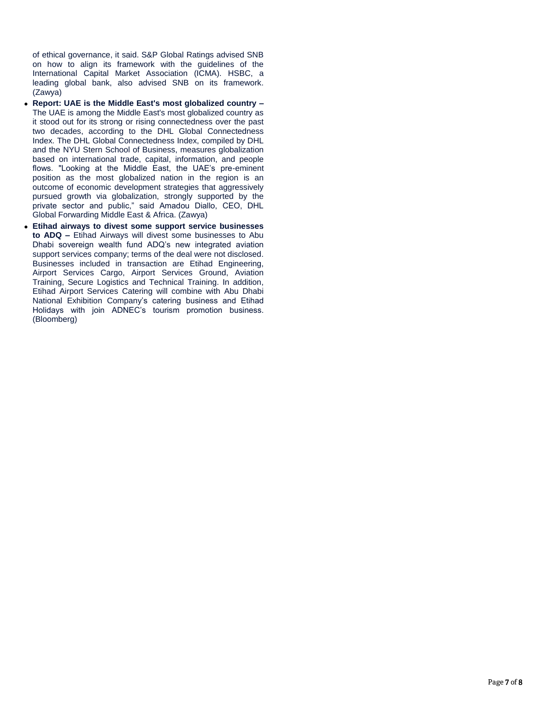of ethical governance, it said. S&P Global Ratings advised SNB on how to align its framework with the guidelines of the International Capital Market Association (ICMA). HSBC, a leading global bank, also advised SNB on its framework. (Zawya)

- **Report: UAE is the Middle East's most globalized country –** The UAE is among the Middle East's most globalized country as it stood out for its strong or rising connectedness over the past two decades, according to the DHL Global Connectedness Index. The DHL Global Connectedness Index, compiled by DHL and the NYU Stern School of Business, measures globalization based on international trade, capital, information, and people flows. "Looking at the Middle East, the UAE's pre-eminent position as the most globalized nation in the region is an outcome of economic development strategies that aggressively pursued growth via globalization, strongly supported by the private sector and public," said Amadou Diallo, CEO, DHL Global Forwarding Middle East & Africa. (Zawya)
- **Etihad airways to divest some support service businesses to ADQ –** Etihad Airways will divest some businesses to Abu Dhabi sovereign wealth fund ADQ's new integrated aviation support services company; terms of the deal were not disclosed. Businesses included in transaction are Etihad Engineering, Airport Services Cargo, Airport Services Ground, Aviation Training, Secure Logistics and Technical Training. In addition, Etihad Airport Services Catering will combine with Abu Dhabi National Exhibition Company's catering business and Etihad Holidays with join ADNEC's tourism promotion business. (Bloomberg)